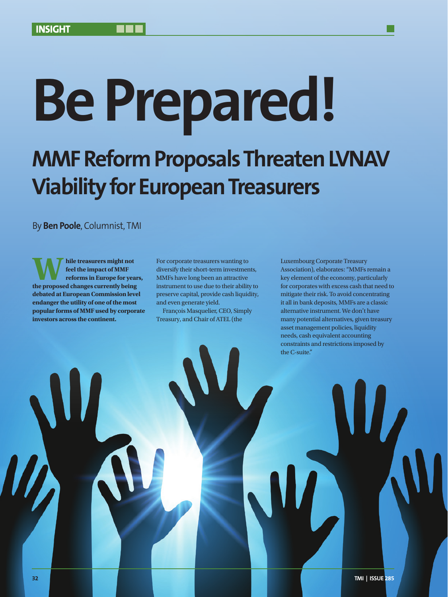# **Be Prepared!**

## **MMF Reform Proposals Threaten LVNAV Viability for European Treasurers**

By **Ben Poole**, Columnist, TMI

**the treasurers might not**<br> **the proposed changes currently being**<br> **the proposed changes currently being feel the impact of MMF reforms in Europe for years, debated at European Commission level endanger the utility of one of the most popular forms of MMF used by corporate investors across the continent.**

For corporate treasurers wanting to diversify their short-term investments, MMFs have long been an attractive instrument to use due to their ability to preserve capital, provide cash liquidity, and even generate yield.

François Masquelier, CEO, Simply Treasury, and Chair of ATEL (the

Luxembourg Corporate Treasury Association), elaborates: "MMFs remain a key element of the economy, particularly for corporates with excess cash that need to mitigate their risk. To avoid concentrating it all in bank deposits, MMFs are a classic alternative instrument. We don't have many potential alternatives, given treasury asset management policies, liquidity needs, cash equivalent accounting constraints and restrictions imposed by the C-suite."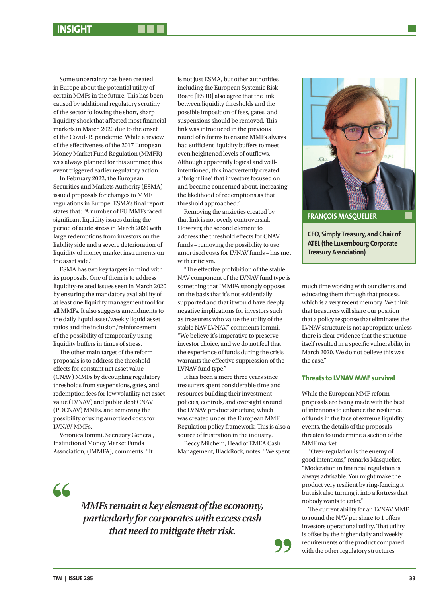Some uncertainty has been created in Europe about the potential utility of certain MMFs in the future. This has been caused by additional regulatory scrutiny of the sector following the short, sharp liquidity shock that affected most financial markets in March 2020 due to the onset of the Covid-19 pandemic. While a review of the effectiveness of the 2017 European Money Market Fund Regulation (MMFR) was always planned for this summer, this event triggered earlier regulatory action.

In February 2022, the European Securities and Markets Authority (ESMA) issued proposals for changes to MMF regulations in Europe. ESMA's final report states that: "A number of EU MMFs faced significant liquidity issues during the period of acute stress in March 2020 with large redemptions from investors on the liability side and a severe deterioration of liquidity of money market instruments on the asset side."

ESMA has two key targets in mind with its proposals. One of them is to address liquidity-related issues seen in March 2020 by ensuring the mandatory availability of at least one liquidity management tool for all MMFs. It also suggests amendments to the daily liquid asset/weekly liquid asset ratios and the inclusion/reinforcement of the possibility of temporarily using liquidity buffers in times of stress.

The other main target of the reform proposals is to address the threshold effects for constant net asset value (CNAV) MMFs by decoupling regulatory thresholds from suspensions, gates, and redemption fees for low volatility net asset value (LVNAV) and public debt CNAV (PDCNAV) MMFs, and removing the possibility of using amortised costs for LVNAV MMFs.

Veronica Iommi, Secretary General, Institutional Money Market Funds Association, (IMMFA), comments: "It

is not just ESMA, but other authorities including the European Systemic Risk Board [ESRB] also agree that the link between liquidity thresholds and the possible imposition of fees, gates, and suspensions should be removed. This link was introduced in the previous round of reforms to ensure MMFs always had sufficient liquidity buffers to meet even heightened levels of outflows. Although apparently logical and wellintentioned, this inadvertently created a 'bright line' that investors focused on and became concerned about, increasing the likelihood of redemptions as that threshold approached."

Removing the anxieties created by that link is not overly controversial. However, the second element to address the threshold effects for CNAV funds – removing the possibility to use amortised costs for LVNAV funds – has met with criticism.

"The effective prohibition of the stable NAV component of the LVNAV fund type is something that IMMFA strongly opposes on the basis that it's not evidentially supported and that it would have deeply negative implications for investors such as treasurers who value the utility of the stable NAV LVNAV," comments Iommi. "We believe it's imperative to preserve investor choice, and we do not feel that the experience of funds during the crisis warrants the effective suppression of the LVNAV fund type."

It has been a mere three years since treasurers spent considerable time and resources building their investment policies, controls, and oversight around the LVNAV product structure, which was created under the European MMF Regulation policy framework. This is also a source of frustration in the industry.

Beccy Milchem, Head of EMEA Cash Management, BlackRock, notes: "We spent

66

*MMFs remain a key element of the economy, particularly for corporates with excess cash that need to mitigate their risk.*



**ATEL (the Luxembourg Corporate Treasury Association)**

much time working with our clients and educating them through that process, which is a very recent memory. We think that treasurers will share our position that a policy response that eliminates the LVNAV structure is not appropriate unless there is clear evidence that the structure itself resulted in a specific vulnerability in March 2020. We do not believe this was the case"

### **Threats to LVNAV MMF survival**

While the European MMF reform proposals are being made with the best of intentions to enhance the resilience of funds in the face of extreme liquidity events, the details of the proposals threaten to undermine a section of the MMF market.

"Over-regulation is the enemy of good intentions," remarks Masquelier. "Moderation in financial regulation is always advisable. You might make the product very resilient by ring-fencing it but risk also turning it into a fortress that nobody wants to enter."

The current ability for an LVNAV MMF to round the NAV per share to 1 offers investors operational utility. That utility is offset by the higher daily and weekly requirements of the product compared with the other regulatory structures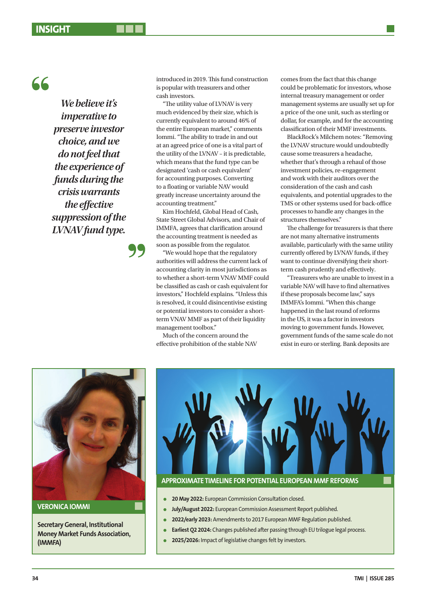## $66$

*We believe it's imperative to preserve investor choice, and we do not feel that the experience of funds during the crisis warrants the effective suppression of the LVNAV fund type.*

introduced in 2019. This fund construction is popular with treasurers and other cash investors.

"The utility value of LVNAV is very much evidenced by their size, which is currently equivalent to around 46% of the entire European market," comments Iommi. "The ability to trade in and out at an agreed price of one is a vital part of the utility of the LVNAV – it is predictable, which means that the fund type can be designated 'cash or cash equivalent' for accounting purposes. Converting to a floating or variable NAV would greatly increase uncertainty around the accounting treatment."

Kim Hochfeld, Global Head of Cash, State Street Global Advisors, and Chair of IMMFA, agrees that clarification around the accounting treatment is needed as soon as possible from the regulator.

"We would hope that the regulatory authorities will address the current lack of accounting clarity in most jurisdictions as to whether a short-term VNAV MMF could be classified as cash or cash equivalent for investors," Hochfeld explains. "Unless this is resolved, it could disincentivise existing or potential investors to consider a shortterm VNAV MMF as part of their liquidity management toolbox."

Much of the concern around the effective prohibition of the stable NAV comes from the fact that this change could be problematic for investors, whose internal treasury management or order management systems are usually set up for a price of the one unit, such as sterling or dollar, for example, and for the accounting classification of their MMF investments.

BlackRock's Milchem notes: "Removing the LVNAV structure would undoubtedly cause some treasurers a headache, whether that's through a rehaul of those investment policies, re-engagement and work with their auditors over the consideration of the cash and cash equivalents, and potential upgrades to the TMS or other systems used for back-office processes to handle any changes in the structures themselves."

The challenge for treasurers is that there are not many alternative instruments available, particularly with the same utility currently offered by LVNAV funds, if they want to continue diversifying their shortterm cash prudently and effectively.

"Treasurers who are unable to invest in a variable NAV will have to find alternatives if these proposals become law," says IMMFA's Iommi. "When this change happened in the last round of reforms in the US, it was a factor in investors moving to government funds. However, government funds of the same scale do not exist in euro or sterling. Bank deposits are



**VERONICA IOMMI**

**Secretary General, Institutional Money Market Funds Association, (IMMFA)**



## **APPROXIMATE TIMELINE FOR POTENTIAL EUROPEAN MMF REFORMS**

- **a** 20 May 2022: European Commission Consultation closed.
- l **July/August 2022:** European Commission Assessment Report published.
- **a** 2022/early 2023: Amendments to 2017 European MMF Regulation published.
	- **Earliest Q2 2024:** Changes published after passing through EU trilogue legal process.
	- 2025/2026: Impact of legislative changes felt by investors.